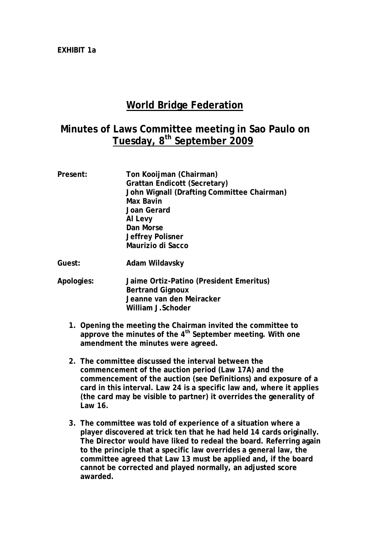## **World Bridge Federation**

## **Minutes of Laws Committee meeting in Sao Paulo on Tuesday, 8th September 2009**

| Present:   | Ton Kooijman (Chairman)<br><b>Grattan Endicott (Secretary)</b><br>John Wignall (Drafting Committee Chairman)<br><b>Max Bavin</b><br>Joan Gerard<br>Al Levy<br>Dan Morse<br>Jeffrey Polisner<br>Maurizio di Sacco |
|------------|------------------------------------------------------------------------------------------------------------------------------------------------------------------------------------------------------------------|
| Guest:     | Adam Wildavsky                                                                                                                                                                                                   |
| Apologies: | Jaime Ortiz-Patino (President Emeritus)<br><b>Bertrand Gignoux</b><br>Jeanne van den Meiracker<br>William J.Schoder                                                                                              |

- **1. Opening the meeting the Chairman invited the committee to approve the minutes of the 4th September meeting. With one amendment the minutes were agreed.**
- **2. The committee discussed the interval between the commencement of the auction period (Law 17A) and the commencement of the auction (see Definitions) and exposure of a card in this interval. Law 24 is a specific law and, where it applies (the card may be visible to partner) it overrides the generality of Law 16.**
- **3. The committee was told of experience of a situation where a player discovered at trick ten that he had held 14 cards originally. The Director would have liked to redeal the board. Referring again to the principle that a specific law overrides a general law, the committee agreed that Law 13 must be applied and, if the board cannot be corrected and played normally, an adjusted score awarded.**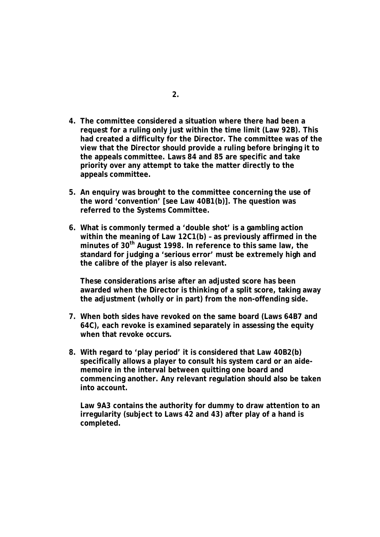- **4. The committee considered a situation where there had been a request for a ruling only just within the time limit (Law 92B). This had created a difficulty for the Director. The committee was of the view that the Director should provide a ruling before bringing it to the appeals committee. Laws 84 and 85 are specific and take priority over any attempt to take the matter directly to the appeals committee.**
- **5. An enquiry was brought to the committee concerning the use of the word 'convention' [see Law 40B1(b)]. The question was referred to the Systems Committee.**
- **6. What is commonly termed a 'double shot' is a gambling action within the meaning of Law 12C1(b) – as previously affirmed in the minutes of 30th August 1998. In reference to this same law, the standard for judging a 'serious error' must be extremely high and the calibre of the player is also relevant.**

**These considerations arise after an adjusted score has been awarded when the Director is thinking of a split score, taking away the adjustment (wholly or in part) from the non-offending side.** 

- **7. When both sides have revoked on the same board (Laws 64B7 and 64C), each revoke is examined separately in assessing the equity when that revoke occurs.**
- **8. With regard to 'play period' it is considered that Law 40B2(b) specifically allows a player to consult his system card or an aidememoire in the interval between quitting one board and commencing another. Any relevant regulation should also be taken into account.**

**Law 9A3 contains the authority for dummy to draw attention to an irregularity (subject to Laws 42 and 43) after play of a hand is completed.**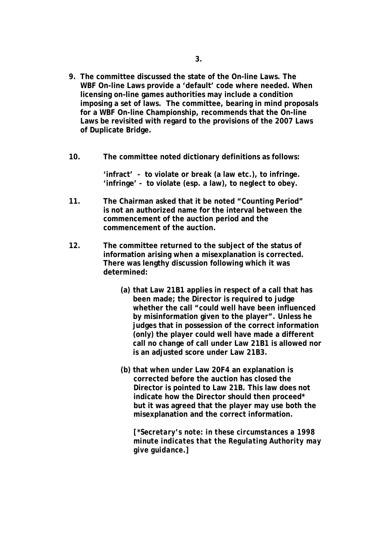- **9. The committee discussed the state of the On-line Laws. The WBF On-line Laws provide a 'default' code where needed. When licensing on-line games authorities may include a condition imposing a set of laws. The committee, bearing in mind proposals for a WBF On-line Championship, recommends that the On-line Laws be revisited with regard to the provisions of the 2007 Laws of Duplicate Bridge.**
- **10. The committee noted dictionary definitions as follows:**

**'infract' - to violate or break (a law etc.), to infringe. 'infringe' - to violate (esp. a law), to neglect to obey.** 

- **11. The Chairman asked that it be noted "Counting Period" is not an authorized name for the interval between the commencement of the auction period and the commencement of the auction.**
- **12. The committee returned to the subject of the status of information arising when a misexplanation is corrected. There was lengthy discussion following which it was determined:** 
	- **(a) that Law 21B1 applies in respect of a call that has been made; the Director is required to judge whether the call "could well have been influenced by misinformation given to the player". Unless he judges that in possession of the correct information (only) the player could well have made a different call no change of call under Law 21B1 is allowed nor is an adjusted score under Law 21B3.**
	- **(b) that when under Law 20F4 an explanation is corrected before the auction has closed the Director is pointed to Law 21B. This law does not indicate how the Director should then proceed\* but it was agreed that the player may use both the misexplanation and the correct information.**

*[\*Secretary's note: in these circumstances a 1998 minute indicates that the Regulating Authority may give guidance.]*